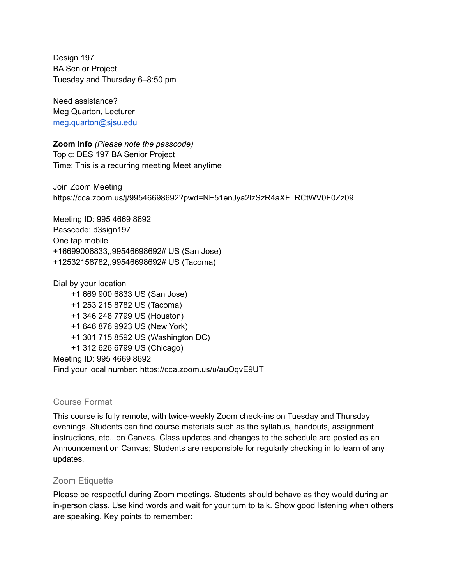Design 197 BA Senior Project Tuesday and Thursday 6–8:50 pm

Need assistance? Meg Quarton, Lecturer [meg.quarton@sjsu.edu](mailto:meg.quarton@sjsu.edu)

**Zoom Info** *(Please note the passcode)* Topic: DES 197 BA Senior Project Time: This is a recurring meeting Meet anytime

Join Zoom Meeting https://cca.zoom.us/j/99546698692?pwd=NE51enJya2lzSzR4aXFLRCtWV0F0Zz09

Meeting ID: 995 4669 8692 Passcode: d3sign197 One tap mobile +16699006833,,99546698692# US (San Jose) +12532158782,,99546698692# US (Tacoma)

Dial by your location +1 669 900 6833 US (San Jose) +1 253 215 8782 US (Tacoma) +1 346 248 7799 US (Houston) +1 646 876 9923 US (New York) +1 301 715 8592 US (Washington DC) +1 312 626 6799 US (Chicago) Meeting ID: 995 4669 8692

Find your local number: https://cca.zoom.us/u/auQqvE9UT

#### Course Format

This course is fully remote, with twice-weekly Zoom check-ins on Tuesday and Thursday evenings. Students can find course materials such as the syllabus, handouts, assignment instructions, etc., on Canvas. Class updates and changes to the schedule are posted as an Announcement on Canvas; Students are responsible for regularly checking in to learn of any updates.

#### Zoom Etiquette

Please be respectful during Zoom meetings. Students should behave as they would during an in-person class. Use kind words and wait for your turn to talk. Show good listening when others are speaking. Key points to remember: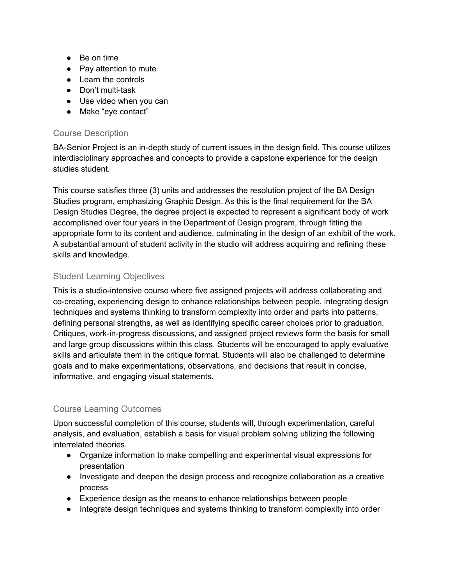- Be on time
- Pay attention to mute
- Learn the controls
- Don't multi-task
- Use video when you can
- Make "eye contact"

## Course Description

BA-Senior Project is an in-depth study of current issues in the design field. This course utilizes interdisciplinary approaches and concepts to provide a capstone experience for the design studies student.

This course satisfies three (3) units and addresses the resolution project of the BA Design Studies program, emphasizing Graphic Design. As this is the final requirement for the BA Design Studies Degree, the degree project is expected to represent a significant body of work accomplished over four years in the Department of Design program, through fitting the appropriate form to its content and audience, culminating in the design of an exhibit of the work. A substantial amount of student activity in the studio will address acquiring and refining these skills and knowledge.

# Student Learning Objectives

This is a studio-intensive course where five assigned projects will address collaborating and co-creating, experiencing design to enhance relationships between people, integrating design techniques and systems thinking to transform complexity into order and parts into patterns, defining personal strengths, as well as identifying specific career choices prior to graduation. Critiques, work-in-progress discussions, and assigned project reviews form the basis for small and large group discussions within this class. Students will be encouraged to apply evaluative skills and articulate them in the critique format. Students will also be challenged to determine goals and to make experimentations, observations, and decisions that result in concise, informative, and engaging visual statements.

# Course Learning Outcomes

Upon successful completion of this course, students will, through experimentation, careful analysis, and evaluation, establish a basis for visual problem solving utilizing the following interrelated theories.

- Organize information to make compelling and experimental visual expressions for presentation
- Investigate and deepen the design process and recognize collaboration as a creative process
- Experience design as the means to enhance relationships between people
- Integrate design techniques and systems thinking to transform complexity into order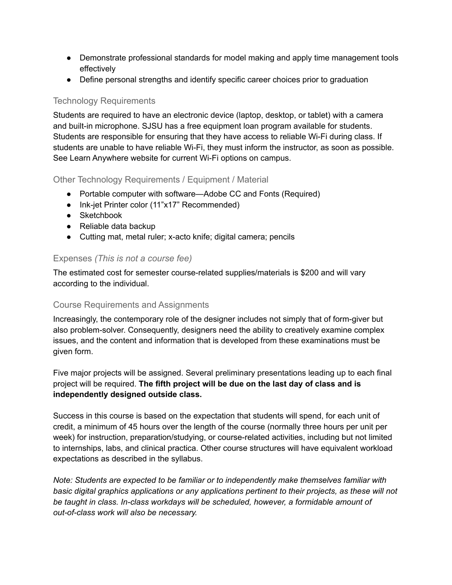- Demonstrate professional standards for model making and apply time management tools effectively
- Define personal strengths and identify specific career choices prior to graduation

# Technology Requirements

Students are required to have an electronic device (laptop, desktop, or tablet) with a camera and built-in microphone. SJSU has a free equipment loan program available for students. Students are responsible for ensuring that they have access to reliable Wi-Fi during class. If students are unable to have reliable Wi-Fi, they must inform the instructor, as soon as possible. See Learn Anywhere website for current Wi-Fi options on campus.

# Other Technology Requirements / Equipment / Material

- Portable computer with software—Adobe CC and Fonts (Required)
- Ink-jet Printer color (11"x17" Recommended)
- Sketchbook
- Reliable data backup
- Cutting mat, metal ruler; x-acto knife; digital camera; pencils

## Expenses *(This is not a course fee)*

The estimated cost for semester course-related supplies/materials is \$200 and will vary according to the individual.

# Course Requirements and Assignments

Increasingly, the contemporary role of the designer includes not simply that of form-giver but also problem-solver. Consequently, designers need the ability to creatively examine complex issues, and the content and information that is developed from these examinations must be given form.

Five major projects will be assigned. Several preliminary presentations leading up to each final project will be required. **The fifth project will be due on the last day of class and is independently designed outside class.**

Success in this course is based on the expectation that students will spend, for each unit of credit, a minimum of 45 hours over the length of the course (normally three hours per unit per week) for instruction, preparation/studying, or course-related activities, including but not limited to internships, labs, and clinical practica. Other course structures will have equivalent workload expectations as described in the syllabus.

*Note: Students are expected to be familiar or to independently make themselves familiar with basic digital graphics applications or any applications pertinent to their projects, as these will not be taught in class. In-class workdays will be scheduled, however, a formidable amount of out-of-class work will also be necessary.*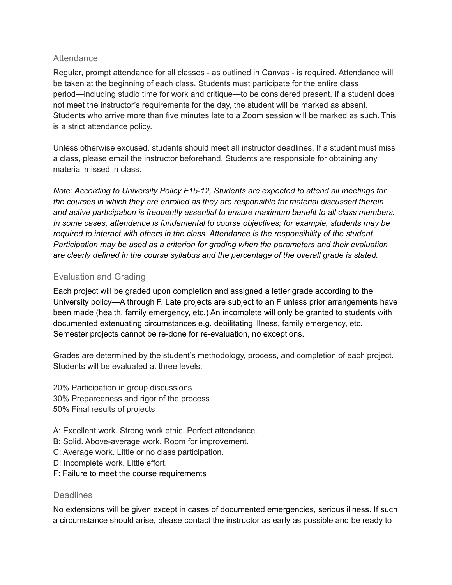### **Attendance**

Regular, prompt attendance for all classes - as outlined in Canvas - is required. Attendance will be taken at the beginning of each class. Students must participate for the entire class period—including studio time for work and critique—to be considered present. If a student does not meet the instructor's requirements for the day, the student will be marked as absent. Students who arrive more than five minutes late to a Zoom session will be marked as such. This is a strict attendance policy.

Unless otherwise excused, students should meet all instructor deadlines. If a student must miss a class, please email the instructor beforehand. Students are responsible for obtaining any material missed in class.

*Note: According to University Policy F15-12, Students are expected to attend all meetings for the courses in which they are enrolled as they are responsible for material discussed therein and active participation is frequently essential to ensure maximum benefit to all class members. In some cases, attendance is fundamental to course objectives; for example, students may be required to interact with others in the class. Attendance is the responsibility of the student. Participation may be used as a criterion for grading when the parameters and their evaluation are clearly defined in the course syllabus and the percentage of the overall grade is stated.*

## Evaluation and Grading

Each project will be graded upon completion and assigned a letter grade according to the University policy—A through F. Late projects are subject to an F unless prior arrangements have been made (health, family emergency, etc.) An incomplete will only be granted to students with documented extenuating circumstances e.g. debilitating illness, family emergency, etc. Semester projects cannot be re-done for re-evaluation, no exceptions.

Grades are determined by the student's methodology, process, and completion of each project. Students will be evaluated at three levels:

20% Participation in group discussions 30% Preparedness and rigor of the process 50% Final results of projects

- A: Excellent work. Strong work ethic. Perfect attendance.
- B: Solid. Above-average work. Room for improvement.
- C: Average work. Little or no class participation.
- D: Incomplete work. Little effort.
- F: Failure to meet the course requirements

#### **Deadlines**

No extensions will be given except in cases of documented emergencies, serious illness. If such a circumstance should arise, please contact the instructor as early as possible and be ready to